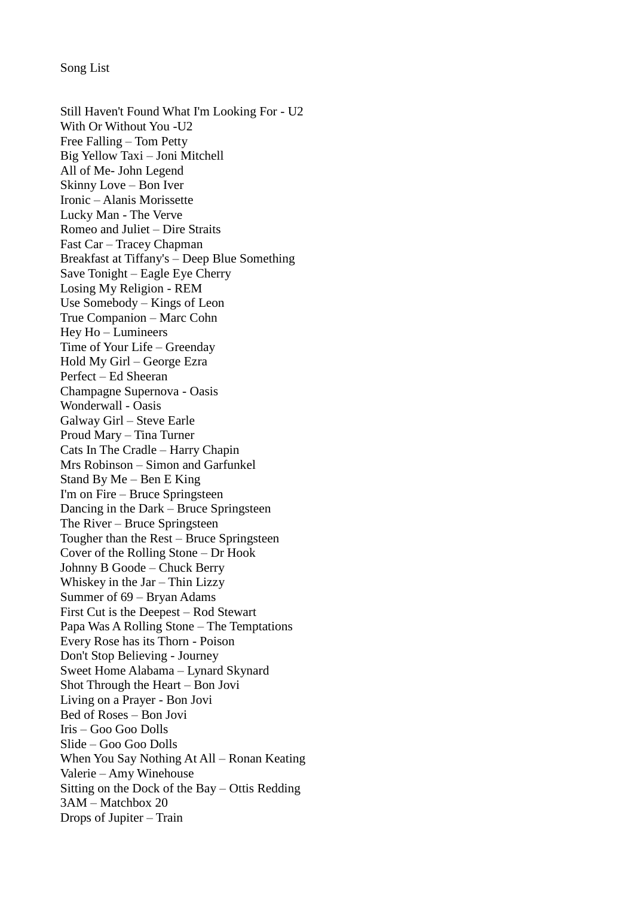Song List

Still Haven't Found What I'm Looking For - U2 With Or Without You -U2 Free Falling – Tom Petty Big Yellow Taxi – Joni Mitchell All of Me- John Legend Skinny Love – Bon Iver Ironic – Alanis Morissette Lucky Man - The Verve Romeo and Juliet – Dire Straits Fast Car – Tracey Chapman Breakfast at Tiffany's – Deep Blue Something Save Tonight – Eagle Eye Cherry Losing My Religion - REM Use Somebody – Kings of Leon True Companion – Marc Cohn Hey Ho – Lumineers Time of Your Life – Greenday Hold My Girl – George Ezra Perfect – Ed Sheeran Champagne Supernova - Oasis Wonderwall - Oasis Galway Girl – Steve Earle Proud Mary – Tina Turner Cats In The Cradle – Harry Chapin Mrs Robinson – Simon and Garfunkel Stand By Me – Ben E King I'm on Fire – Bruce Springsteen Dancing in the Dark – Bruce Springsteen The River – Bruce Springsteen Tougher than the Rest – Bruce Springsteen Cover of the Rolling Stone – Dr Hook Johnny B Goode – Chuck Berry Whiskey in the Jar – Thin Lizzy Summer of 69 – Bryan Adams First Cut is the Deepest – Rod Stewart Papa Was A Rolling Stone – The Temptations Every Rose has its Thorn - Poison Don't Stop Believing - Journey Sweet Home Alabama – Lynard Skynard Shot Through the Heart – Bon Jovi Living on a Prayer - Bon Jovi Bed of Roses – Bon Jovi Iris – Goo Goo Dolls Slide – Goo Goo Dolls When You Say Nothing At All – Ronan Keating Valerie – Amy Winehouse Sitting on the Dock of the Bay – Ottis Redding 3AM – Matchbox 20 Drops of Jupiter – Train